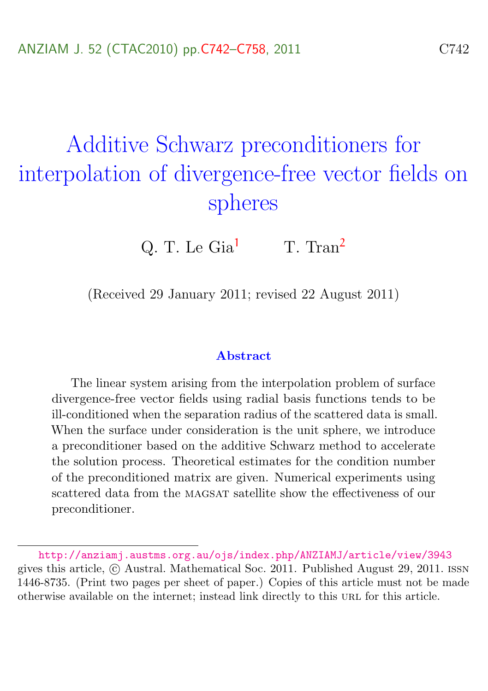# <span id="page-0-0"></span>Additive Schwarz preconditioners for interpolation of divergence-free vector fields on spheres

Q. T. Le  $\text{Gia}^1$  $\text{Gia}^1$  T. Tran<sup>[2](#page-16-0)</sup>

(Received 29 January 2011; revised 22 August 2011)

#### Abstract

The linear system arising from the interpolation problem of surface divergence-free vector fields using radial basis functions tends to be ill-conditioned when the separation radius of the scattered data is small. When the surface under consideration is the unit sphere, we introduce a preconditioner based on the additive Schwarz method to accelerate the solution process. Theoretical estimates for the condition number of the preconditioned matrix are given. Numerical experiments using scattered data from the magsat satellite show the effectiveness of our preconditioner.

<http://anziamj.austms.org.au/ojs/index.php/ANZIAMJ/article/view/3943> gives this article, © Austral. Mathematical Soc. 2011. Published August 29, 2011. ISSN 1446-8735. (Print two pages per sheet of paper.) Copies of this article must not be made otherwise available on the internet; instead link directly to this URL for this article.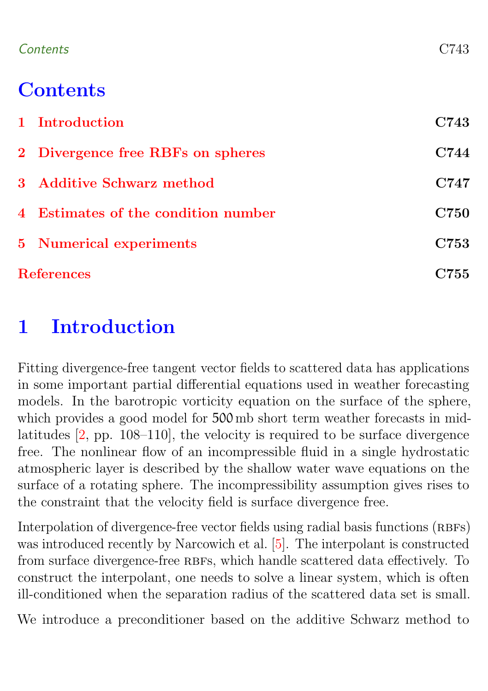#### <span id="page-1-1"></span>Contents C743

# **Contents**

| 1 Introduction                      | C743        |  |
|-------------------------------------|-------------|--|
| 2 Divergence free RBFs on spheres   | C744        |  |
| 3 Additive Schwarz method           | C747        |  |
| 4 Estimates of the condition number | <b>C750</b> |  |
| <b>5</b> Numerical experiments      | C753        |  |
| <b>References</b>                   |             |  |

# <span id="page-1-0"></span>1 Introduction

Fitting divergence-free tangent vector fields to scattered data has applications in some important partial differential equations used in weather forecasting models. In the barotropic vorticity equation on the surface of the sphere, which provides a good model for 500 mb short term weather forecasts in midlatitudes [\[2,](#page-13-1) pp. 108–110], the velocity is required to be surface divergence free. The nonlinear flow of an incompressible fluid in a single hydrostatic atmospheric layer is described by the shallow water wave equations on the surface of a rotating sphere. The incompressibility assumption gives rises to the constraint that the velocity field is surface divergence free.

Interpolation of divergence-free vector fields using radial basis functions (RBFs) was introduced recently by Narcowich et al. [\[5\]](#page-13-2). The interpolant is constructed from surface divergence-free RBFs, which handle scattered data effectively. To construct the interpolant, one needs to solve a linear system, which is often ill-conditioned when the separation radius of the scattered data set is small.

We introduce a preconditioner based on the additive Schwarz method to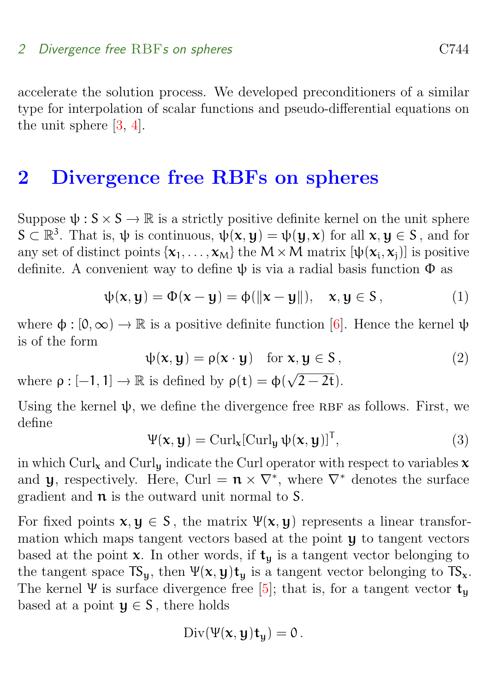#### <span id="page-2-3"></span>2 Divergence free RBFs on spheres contained a contact contact contact contact contact contact contact contact contact contact contact contact contact contact contact contact contact contact contact contact contact contact

accelerate the solution process. We developed preconditioners of a similar type for interpolation of scalar functions and pseudo-differential equations on the unit sphere [\[3,](#page-13-3) [4\]](#page-13-4).

### <span id="page-2-0"></span>2 Divergence free RBFs on spheres

Suppose  $\psi : S \times S \to \mathbb{R}$  is a strictly positive definite kernel on the unit sphere  $S \subset \mathbb{R}^3$ . That is,  $\psi$  is continuous,  $\psi(x, y) = \psi(y, x)$  for all  $x, y \in S$ , and for any set of distinct points  $\{x_1, \ldots, x_M\}$  the  $M \times M$  matrix  $[\psi(x_i, x_j)]$  is positive definite. A convenient way to define  $\psi$  is via a radial basis function  $\Phi$  as

<span id="page-2-1"></span>
$$
\psi(\mathbf{x}, \mathbf{y}) = \Phi(\mathbf{x} - \mathbf{y}) = \phi(\|\mathbf{x} - \mathbf{y}\|), \quad \mathbf{x}, \mathbf{y} \in S,
$$
 (1)

where  $\phi : [0, \infty) \to \mathbb{R}$  is a positive definite function [\[6\]](#page-13-5). Hence the kernel  $\psi$ is of the form

$$
\psi(\mathbf{x}, \mathbf{y}) = \rho(\mathbf{x} \cdot \mathbf{y}) \quad \text{for } \mathbf{x}, \mathbf{y} \in \mathbf{S}, \tag{2}
$$

where  $\rho : [-1, 1] \to \mathbb{R}$  is defined by  $\rho(t) = \phi(\sqrt{\frac{t}{\rho}})$  $(2-2t).$ 

Using the kernel  $\psi$ , we define the divergence free RBF as follows. First, we define

<span id="page-2-2"></span>
$$
\Psi(\mathbf{x}, \mathbf{y}) = \text{Curl}_{\mathbf{x}}[\text{Curl}_{\mathbf{y}} \psi(\mathbf{x}, \mathbf{y})]^{\text{T}},
$$
\n(3)

in which Curl<sub>x</sub> and Curl<sub>u</sub> indicate the Curl operator with respect to variables  $x$ and **y**, respectively. Here, Curl =  $\mathbf{n} \times \nabla^*$ , where  $\nabla^*$  denotes the surface gradient and  $\pi$  is the outward unit normal to S.

For fixed points  $x, y \in S$ , the matrix  $\Psi(x, y)$  represents a linear transformation which maps tangent vectors based at the point y to tangent vectors based at the point  $x$ . In other words, if  $t<sub>u</sub>$  is a tangent vector belonging to the tangent space  $TS_u$ , then  $\Psi(x, y)t_u$  is a tangent vector belonging to  $TS_x$ . The kernel Ψ is surface divergence free [\[5\]](#page-13-2); that is, for a tangent vector  $t_u$ based at a point  $y \in S$ , there holds

$$
\operatorname{Div}(\Psi(x,y)t_y)=0.
$$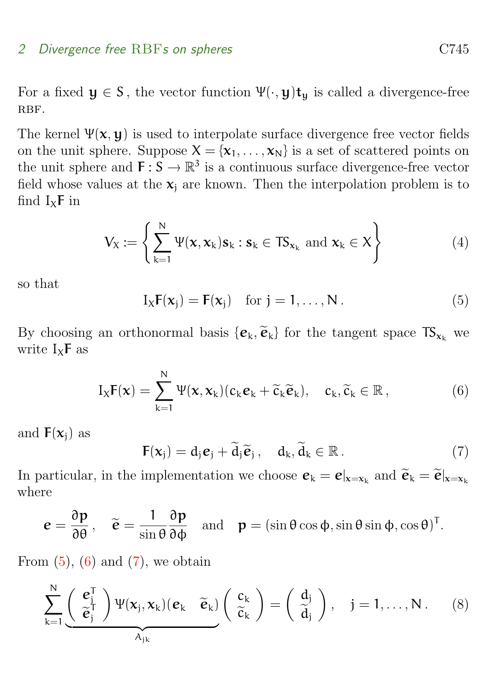#### 2 Divergence free RBFs on spheres C745

For a fixed  $y \in S$ , the vector function  $\Psi(\cdot, y)t_{\mathbf{u}}$  is called a divergence-free RBF.

The kernel  $\Psi(x, y)$  is used to interpolate surface divergence free vector fields on the unit sphere. Suppose  $X = \{x_1, \ldots, x_N\}$  is a set of scattered points on the unit sphere and  $\mathbf{F} : \mathbf{S} \to \mathbb{R}^3$  is a continuous surface divergence-free vector field whose values at the  $x_i$  are known. Then the interpolation problem is to find  $I_x$ F in

$$
V_X := \left\{ \sum_{k=1}^N \Psi(\mathbf{x}, \mathbf{x}_k) \mathbf{s}_k : \mathbf{s}_k \in TS_{\mathbf{x}_k} \text{ and } \mathbf{x}_k \in X \right\}
$$
(4)

so that

<span id="page-3-0"></span>
$$
I_XF(\mathbf{x}_j) = F(\mathbf{x}_j) \quad \text{for } j = 1, ..., N.
$$
 (5)

By choosing an orthonormal basis  $\{\mathbf{e}_k, \widetilde{\mathbf{e}}_k\}$  for the tangent space  $TS_{\mathbf{x}_k}$  we write  $I_x$ **F** as

<span id="page-3-1"></span>
$$
I_X \mathbf{F}(\mathbf{x}) = \sum_{k=1}^N \Psi(\mathbf{x}, \mathbf{x}_k) (c_k \mathbf{e}_k + \widetilde{c}_k \widetilde{\mathbf{e}}_k), \quad c_k, \widetilde{c}_k \in \mathbb{R}, \tag{6}
$$

and  $F(x_i)$  as

<span id="page-3-2"></span>
$$
\mathbf{F}(\mathbf{x}_j) = \mathbf{d}_j \mathbf{e}_j + \widetilde{\mathbf{d}}_j \widetilde{\mathbf{e}}_j, \quad \mathbf{d}_k, \widetilde{\mathbf{d}}_k \in \mathbb{R}.
$$
 (7)

In particular, in the implementation we choose  $\mathbf{e}_k = \mathbf{e}|_{\mathbf{x} = \mathbf{x}_k}$  and  $\widetilde{\mathbf{e}}_k = \widetilde{\mathbf{e}}|_{\mathbf{x} = \mathbf{x}_k}$ where

$$
\mathbf{e} = \frac{\partial \mathbf{p}}{\partial \theta}, \quad \widetilde{\mathbf{e}} = \frac{1}{\sin \theta} \frac{\partial \mathbf{p}}{\partial \phi} \quad \text{and} \quad \mathbf{p} = (\sin \theta \cos \phi, \sin \theta \sin \phi, \cos \theta)^T.
$$

From  $(5)$ ,  $(6)$  and  $(7)$ , we obtain

<span id="page-3-3"></span>
$$
\sum_{k=1}^{N} \underbrace{\left( \begin{array}{c} \boldsymbol{e}_{j}^{T} \\ \widetilde{\boldsymbol{e}}_{j}^{T} \end{array} \right) \Psi(\boldsymbol{x}_{j}, \boldsymbol{x}_{k}) (\boldsymbol{e}_{k} \quad \widetilde{\boldsymbol{e}}_{k})}_{A_{jk}} \left( \begin{array}{c} c_{k} \\ \widetilde{c}_{k} \end{array} \right) = \left( \begin{array}{c} d_{j} \\ \widetilde{d}_{j} \end{array} \right), \quad j = 1, \ldots, N. \tag{8}
$$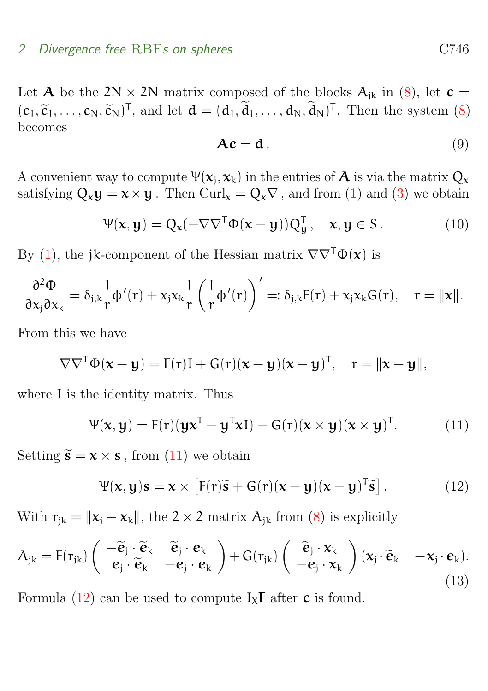#### 2 Divergence free RBFs on spheres C746

Let **A** be the 2N  $\times$  2N matrix composed of the blocks  $A_{ik}$  in [\(8\)](#page-3-3), let  $c =$  $(c_1, \tilde{c}_1, \ldots, c_N, \tilde{c}_N)^T$ , and let  $\mathbf{d} = (d_1, d_1, \ldots, d_N, d_N)^T$ . Then the system [\(8\)](#page-3-3) becomes becomes

$$
Ac = d. \tag{9}
$$

A convenient way to compute  $\Psi(\mathbf{x}_j, \mathbf{x}_k)$  in the entries of  $\mathbf A$  is via the matrix  $Q_{\mathbf x}$ satisfying  $Q_x y = x \times y$ . Then Curl<sub>x</sub> =  $Q_x \nabla$ , and from [\(1\)](#page-2-1) and [\(3\)](#page-2-2) we obtain

$$
\Psi(\mathbf{x}, \mathbf{y}) = Q_{\mathbf{x}}(-\nabla \nabla^{\mathsf{T}} \Phi(\mathbf{x} - \mathbf{y})) Q_{\mathbf{y}}^{\mathsf{T}}, \quad \mathbf{x}, \mathbf{y} \in \mathsf{S}. \tag{10}
$$

By [\(1\)](#page-2-1), the jk-component of the Hessian matrix  $\nabla \nabla^T \Phi(\mathbf{x})$  is

$$
\frac{\partial^2 \Phi}{\partial x_j \partial x_k} = \delta_{j,k} \frac{1}{r} \varphi'(r) + x_j x_k \frac{1}{r} \left( \frac{1}{r} \varphi'(r) \right)' =: \delta_{j,k} F(r) + x_j x_k G(r), \quad r = ||x||.
$$

From this we have

$$
\nabla \nabla^{\mathsf{T}} \Phi(\mathbf{x} - \mathbf{y}) = \mathsf{F}(\mathsf{r}) \mathsf{I} + \mathsf{G}(\mathsf{r})(\mathbf{x} - \mathbf{y})(\mathbf{x} - \mathbf{y})^{\mathsf{T}}, \quad \mathsf{r} = \|\mathbf{x} - \mathbf{y}\|,
$$

where I is the identity matrix. Thus

<span id="page-4-0"></span>
$$
\Psi(\mathbf{x}, \mathbf{y}) = F(r)(\mathbf{y}\mathbf{x}^{\mathsf{T}} - \mathbf{y}^{\mathsf{T}}\mathbf{x}\mathbf{I}) - G(r)(\mathbf{x} \times \mathbf{y})(\mathbf{x} \times \mathbf{y})^{\mathsf{T}}.
$$
 (11)

Setting  $\widetilde{\mathbf{s}} = \mathbf{x} \times \mathbf{s}$ , from [\(11\)](#page-4-0) we obtain

<span id="page-4-1"></span>
$$
\Psi(\mathbf{x}, \mathbf{y})\mathbf{s} = \mathbf{x} \times \left[ \mathbf{F}(\mathbf{r})\widetilde{\mathbf{s}} + \mathbf{G}(\mathbf{r})(\mathbf{x} - \mathbf{y})(\mathbf{x} - \mathbf{y})^{\mathsf{T}}\widetilde{\mathbf{s}} \right]. \tag{12}
$$

With  $r_{jk} = ||x_j - x_k||$ , the 2 × 2 matrix  $A_{ik}$  from [\(8\)](#page-3-3) is explicitly

<span id="page-4-2"></span>
$$
A_{jk} = F(r_{jk}) \begin{pmatrix} -\tilde{\mathbf{e}}_j \cdot \tilde{\mathbf{e}}_k & \tilde{\mathbf{e}}_j \cdot \mathbf{e}_k \\ \mathbf{e}_j \cdot \tilde{\mathbf{e}}_k & -\mathbf{e}_j \cdot \mathbf{e}_k \end{pmatrix} + G(r_{jk}) \begin{pmatrix} \tilde{\mathbf{e}}_j \cdot \mathbf{x}_k \\ -\mathbf{e}_j \cdot \mathbf{x}_k \end{pmatrix} (\mathbf{x}_j \cdot \tilde{\mathbf{e}}_k - \mathbf{x}_j \cdot \mathbf{e}_k).
$$
\n(13)

Formula [\(12\)](#page-4-1) can be used to compute  $I_x$ **F** after **c** is found.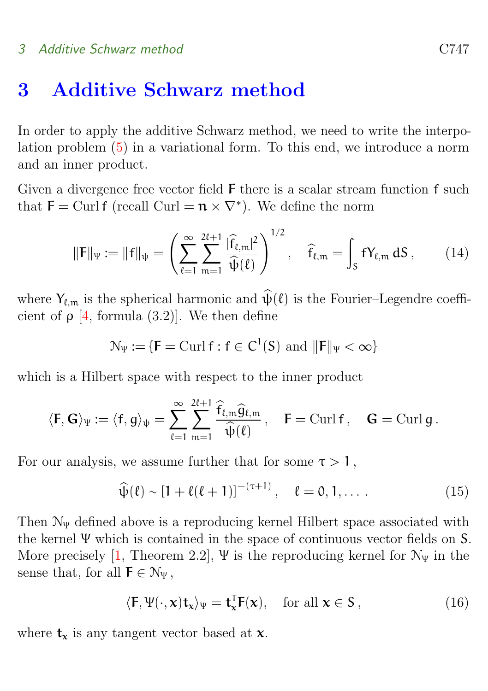#### <span id="page-5-4"></span>3 Additive Schwarz method C747

### <span id="page-5-0"></span>3 Additive Schwarz method

In order to apply the additive Schwarz method, we need to write the interpolation problem [\(5\)](#page-3-0) in a variational form. To this end, we introduce a norm and an inner product.

Given a divergence free vector field F there is a scalar stream function f such that  $\mathbf{F} = \text{Curl } \mathbf{f} \text{ (recall Curl } = \mathbf{n} \times \nabla^* \text{).}$  We define the norm

<span id="page-5-3"></span>
$$
\|\mathbf{F}\|_{\Psi} := \|\mathbf{f}\|_{\Psi} = \left(\sum_{\ell=1}^{\infty} \sum_{m=1}^{2\ell+1} \frac{|\widehat{\mathbf{f}}_{\ell,m}|^2}{\widehat{\psi}(\ell)}\right)^{1/2}, \quad \widehat{\mathbf{f}}_{\ell,m} = \int_{S} \mathbf{f} Y_{\ell,m} \, dS \,, \tag{14}
$$

where  $Y_{\ell,m}$  is the spherical harmonic and  $\widehat{\psi}(\ell)$  is the Fourier–Legendre coefficient of  $\rho$  [\[4,](#page-13-4) formula (3.2)]. We then define

$$
\mathcal{N}_{\Psi} := \{ \mathbf{F} = \operatorname{Curl} \mathbf{f} : \mathbf{f} \in \mathsf{C}^1(\mathsf{S}) \text{ and } ||\mathbf{F}||_{\Psi} < \infty \}
$$

which is a Hilbert space with respect to the inner product

$$
\langle \mathbf{F}, \mathbf{G} \rangle_{\Psi} := \langle \mathbf{f}, \mathbf{g} \rangle_{\Psi} = \sum_{\ell=1}^{\infty} \sum_{m=1}^{2\ell+1} \frac{\widehat{f}_{\ell,m} \widehat{g}_{\ell,m}}{\widehat{\psi}(\ell)}, \quad \mathbf{F} = \mathrm{Curl} \, \mathbf{f}, \quad \mathbf{G} = \mathrm{Curl} \, \mathbf{g} \, .
$$

For our analysis, we assume further that for some  $\tau > 1$ ,

<span id="page-5-2"></span>
$$
\widehat{\psi}(\ell) \sim [1 + \ell(\ell+1)]^{-(\tau+1)}, \quad \ell = 0, 1, \dots \tag{15}
$$

Then  $\mathcal{N}_{\Psi}$  defined above is a reproducing kernel Hilbert space associated with the kernel Ψ which is contained in the space of continuous vector fields on S. More precisely [\[1,](#page-13-6) Theorem 2.2], Ψ is the reproducing kernel for  $\mathcal{N}_{\Psi}$  in the sense that, for all  $\mathsf{F} \in \mathcal{N}_{\Psi}$ ,

<span id="page-5-1"></span>
$$
\langle \mathbf{F}, \Psi(\cdot, \mathbf{x}) \mathbf{t}_{\mathbf{x}} \rangle_{\Psi} = \mathbf{t}_{\mathbf{x}}^{\mathsf{T}} \mathbf{F}(\mathbf{x}), \quad \text{for all } \mathbf{x} \in \mathsf{S}, \tag{16}
$$

where  $t_x$  is any tangent vector based at  $x$ .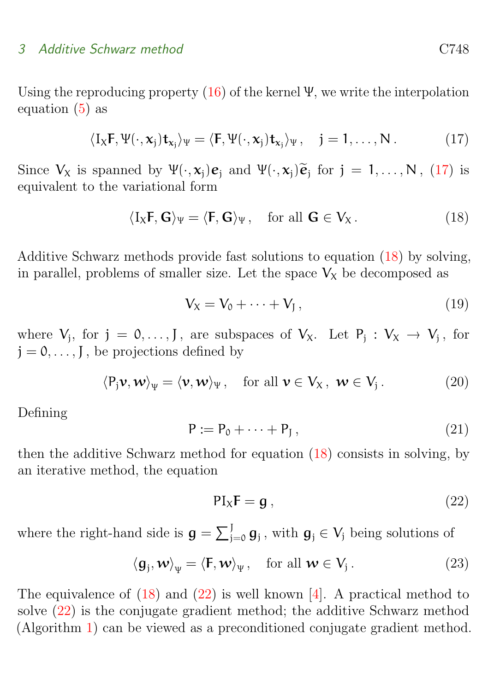#### <span id="page-6-6"></span>3 Additive Schwarz method C748

Using the reproducing property  $(16)$  of the kernel  $\Psi$ , we write the interpolation equation  $(5)$  as

<span id="page-6-0"></span>
$$
\langle I_X \mathbf{F}, \Psi(\cdot, \mathbf{x}_j) \mathbf{t}_{\mathbf{x}_j} \rangle_{\Psi} = \langle \mathbf{F}, \Psi(\cdot, \mathbf{x}_j) \mathbf{t}_{\mathbf{x}_j} \rangle_{\Psi}, \quad j = 1, \dots, N. \tag{17}
$$

Since  $V_X$  is spanned by  $\Psi(\cdot, x_j)\mathbf{e}_j$  and  $\Psi(\cdot, x_j)\mathbf{\tilde{e}}_j$  for  $j = 1, ..., N$ , [\(17\)](#page-6-0) is conjugate to the variational form equivalent to the variational form

<span id="page-6-1"></span>
$$
\langle I_X \mathbf{F}, \mathbf{G} \rangle_{\Psi} = \langle \mathbf{F}, \mathbf{G} \rangle_{\Psi}, \quad \text{for all } \mathbf{G} \in V_X. \tag{18}
$$

Additive Schwarz methods provide fast solutions to equation [\(18\)](#page-6-1) by solving, in parallel, problems of smaller size. Let the space  $V_X$  be decomposed as

<span id="page-6-3"></span>
$$
V_X = V_0 + \dots + V_J, \qquad (19)
$$

where  $V_j$ , for  $j = 0, ..., J$ , are subspaces of  $V_x$ . Let  $P_j : V_x \to V_j$ , for  $j = 0, \ldots, J$ , be projections defined by

<span id="page-6-4"></span>
$$
\langle P_j \mathbf{v}, \mathbf{w} \rangle_{\Psi} = \langle \mathbf{v}, \mathbf{w} \rangle_{\Psi}, \quad \text{for all } \mathbf{v} \in V_X, \ \mathbf{w} \in V_j. \tag{20}
$$

Defining

<span id="page-6-5"></span>
$$
P := P_0 + \dots + P_J, \qquad (21)
$$

then the additive Schwarz method for equation [\(18\)](#page-6-1) consists in solving, by an iterative method, the equation

<span id="page-6-2"></span>
$$
PI_XF = g , \t\t(22)
$$

where the right-hand side is  $g = \sum_{j=0}^{J} g_j$ , with  $g_j \in V_j$  being solutions of

$$
\langle \mathbf{g}_j, \mathbf{w} \rangle_{\Psi} = \langle \mathbf{F}, \mathbf{w} \rangle_{\Psi}, \quad \text{for all } \mathbf{w} \in V_j. \tag{23}
$$

The equivalence of  $(18)$  and  $(22)$  is well known [\[4\]](#page-13-4). A practical method to solve [\(22\)](#page-6-2) is the conjugate gradient method; the additive Schwarz method (Algorithm [1\)](#page-8-1) can be viewed as a preconditioned conjugate gradient method.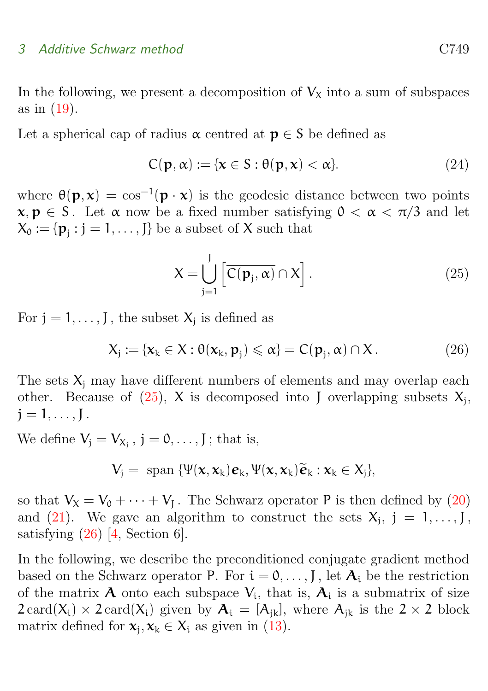#### <span id="page-7-2"></span>3 Additive Schwarz method C749

In the following, we present a decomposition of  $V<sub>X</sub>$  into a sum of subspaces as in [\(19\)](#page-6-3).

Let a spherical cap of radius  $\alpha$  centred at  $p \in S$  be defined as

$$
C(\mathbf{p}, \alpha) := \{ \mathbf{x} \in S : \theta(\mathbf{p}, \mathbf{x}) < \alpha \}. \tag{24}
$$

where  $\theta(\mathbf{p}, \mathbf{x}) = \cos^{-1}(\mathbf{p} \cdot \mathbf{x})$  is the geodesic distance between two points  $x, p \in S$ . Let  $\alpha$  now be a fixed number satisfying  $0 < \alpha < \pi/3$  and let  $X_0 := \{ \mathbf{p}_j : j = 1, \ldots, J \}$  be a subset of X such that

<span id="page-7-0"></span>
$$
X = \bigcup_{j=1}^{J} \left[ \overline{C(\mathbf{p}_j, \alpha)} \cap X \right].
$$
 (25)

For  $j = 1, \ldots, J$ , the subset  $X_j$  is defined as

<span id="page-7-1"></span>
$$
X_j := \{ \mathbf{x}_k \in X : \theta(\mathbf{x}_k, \mathbf{p}_j) \leq \alpha \} = \overline{C(\mathbf{p}_j, \alpha)} \cap X. \tag{26}
$$

The sets  $X_i$  may have different numbers of elements and may overlap each other. Because of  $(25)$ , X is decomposed into J overlapping subsets  $X_j$ ,  $j = 1, \ldots, J$ .

We define  $V_j = V_{X_j}$ ,  $j = 0, \ldots, J$ ; that is,

$$
V_j = \text{ span } \{\Psi(\mathbf{x}, \mathbf{x}_k) \mathbf{e}_k, \Psi(\mathbf{x}, \mathbf{x}_k) \widetilde{\mathbf{e}}_k : \mathbf{x}_k \in X_j \},\
$$

so that  $V_X = V_0 + \cdots + V_J$ . The Schwarz operator P is then defined by [\(20\)](#page-6-4) and [\(21\)](#page-6-5). We gave an algorithm to construct the sets  $X_j$ ,  $j = 1, \ldots, J$ , satisfying  $(26)$  [\[4,](#page-13-4) Section 6].

In the following, we describe the preconditioned conjugate gradient method based on the Schwarz operator P. For  $i = 0, \ldots, J$ , let  $A_i$  be the restriction of the matrix  $A$  onto each subspace  $V_i$ , that is,  $A_i$  is a submatrix of size  $2 \text{ card}(X_i) \times 2 \text{ card}(X_i)$  given by  $A_i = [A_{ik}]$ , where  $A_{ik}$  is the  $2 \times 2$  block matrix defined for  $x_j, x_k \in X_i$  as given in [\(13\)](#page-4-2).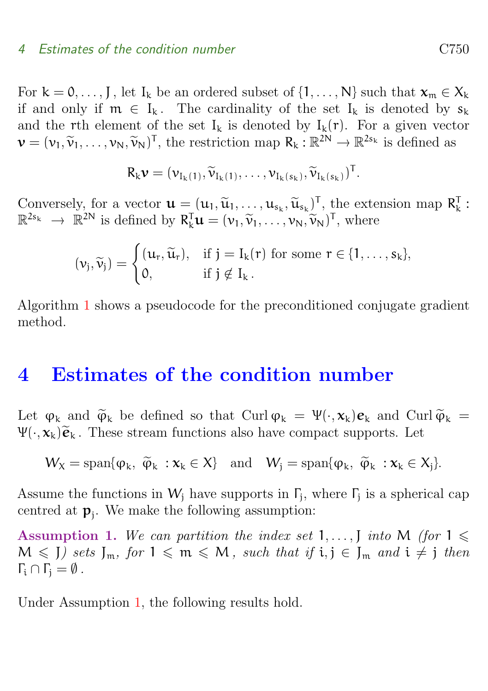#### 4 Estimates of the condition number C750

For  $k = 0, \ldots, J$ , let  $I_k$  be an ordered subset of  $\{1, \ldots, N\}$  such that  $\mathbf{x}_m \in X_k$ if and only if  $m \in I_k$ . The cardinality of the set  $I_k$  is denoted by  $s_k$ and the rth element of the set  $I_k$  is denoted by  $I_k(r)$ . For a given vector  $\mathbf{v} = (v_1, \widetilde{v}_1, \dots, v_N, \widetilde{v}_N)^T$ , the restriction map  $R_k : \mathbb{R}^{2N} \to \mathbb{R}^{2s_k}$  is defined as

$$
R_k \boldsymbol{\nu} = (\nu_{I_k(1)}, \widetilde{\nu}_{I_k(1)}, \ldots, \nu_{I_k(s_k)}, \widetilde{\nu}_{I_k(s_k)})^T.
$$

Conversely, for a vector  $\mathbf{u} = (u_1, \tilde{u}_1, \dots, u_{s_k}, \tilde{u}_{s_k})^T$ , the extension map  $R_k^T$ :<br>  $\mathbb{R}^{2s_k} \longrightarrow \mathbb{R}^{2N}$  is defined by  $R_{\text{u}}^T \mathbf{u} = (u_k, \tilde{u}_k, \tilde{u}_k)^T$ , where  $\mathbb{R}^{2s_k} \to \mathbb{R}^{2N}$  is defined by  $R_k^{\mathsf{T}} \mathbf{u} = (\mathbf{v}_1, \widetilde{\mathbf{v}}_1, \dots, \mathbf{v}_N, \widetilde{\mathbf{v}}_N)^{\mathsf{T}}$ , where

$$
(\nu_j,\widetilde{\nu}_j)=\begin{cases} (u_r,\widetilde{u}_r),&\text{if }j=I_k(r)\text{ for some }r\in\{1,\ldots,s_k\},\\ 0,&\text{if }j\notin I_k\,.\end{cases}
$$

Algorithm [1](#page-8-1) shows a pseudocode for the preconditioned conjugate gradient method.

### <span id="page-8-0"></span>4 Estimates of the condition number

Let  $\varphi_k$  and  $\widetilde{\varphi}_k$  be defined so that Curl  $\varphi_k = \Psi(\cdot, \mathbf{x}_k) \mathbf{e}_k$  and Curl  $\widetilde{\varphi}_k =$  $\Psi(\cdot, \mathbf{x}_k)\widetilde{\mathbf{e}}_k$ . These stream functions also have compact supports. Let

$$
W_X = \mathrm{span}\{\phi_k, \ \widetilde{\phi}_k : \mathbf{x}_k \in X\} \quad \text{and} \quad W_j = \mathrm{span}\{\phi_k, \ \widetilde{\phi}_k : \mathbf{x}_k \in X_j\}.
$$

Assume the functions in  $W_j$  have supports in  $\Gamma_j$ , where  $\Gamma_j$  is a spherical cap centred at  $\mathbf{p}_j$ . We make the following assumption:

<span id="page-8-2"></span>Assumption 1. We can partition the index set 1,...,  $\int$  into M (for  $1 \leq$  $M \leqslant J$ ) sets  $J_m$ , for  $1 \leqslant m \leqslant M$ , such that if  $i, j \in J_m$  and  $i \neq j$  then  $\Gamma_i \cap \Gamma_i = \emptyset$ .

<span id="page-8-3"></span><span id="page-8-1"></span>Under Assumption [1,](#page-8-2) the following results hold.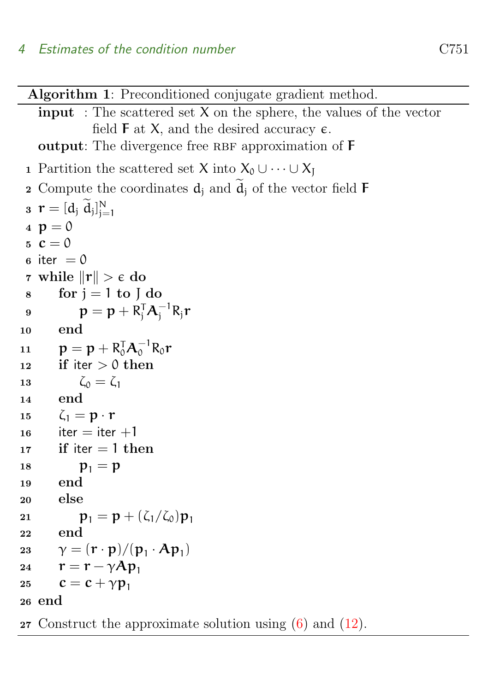Algorithm 1: Preconditioned conjugate gradient method.

**input**: The scattered set  $X$  on the sphere, the values of the vector field  $\bf{F}$  at X, and the desired accuracy  $\bf{\epsilon}$ . output: The divergence free RBF approximation of  $F$ 

```
1 Partition the scattered set X into X_0 \cup \cdots \cup X_I2 Compute the coordinates d_i and \ddot{d}_i of the vector field F
 \mathbf{r} = [d_j \ d_j]_{j=1}^N4 p = 05 \text{ } c = 06 iter = 07 while \|\mathbf{r}\| > \epsilon do
 \sin s for j = 1 to J do
 {\bf p}={\bf p}+{\bf R}_{\rm j}^{{\sf T}}{\bf A}_{\rm j}^{-1}{\bf R}_{\rm j}{\bf r}10 end
11 \mathbf{p} = \mathbf{p} + \mathbf{R}_{0}^{\mathsf{T}} \mathbf{A}_{0}^{-1} \mathbf{R}_{0} \mathbf{r}12 if iter > 0 then
13 \zeta_0 = \zeta_114 end
15 \zeta_1 = \mathbf{p} \cdot \mathbf{r}16 iter = iter +117 if iter = 1 then
18 p_1 = p19 end
20 else
               {\bf p}_1 = {\bf p} + (\zeta_1/\zeta_0){\bf p}_121
22 end
23 \gamma = (\mathbf{r} \cdot \mathbf{p})/(\mathbf{p}_1 \cdot \mathbf{A} \mathbf{p}_1)r = r - \gamma A p_124
          c = c + \gamma p_125
26 end
```
27 Construct the approximate solution using  $(6)$  and  $(12)$ .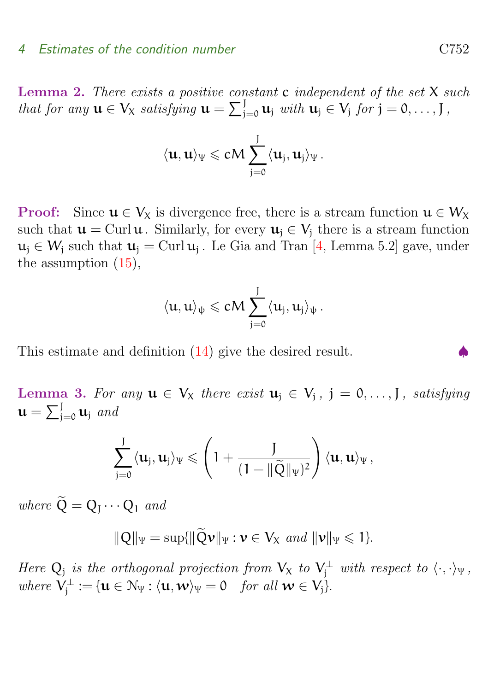#### <span id="page-10-1"></span>4 Estimates of the condition number C752

**Lemma 2.** There exists a positive constant  $c$  independent of the set  $X$  such that for any  $\mathbf{u} \in V_{\chi}$  satisfying  $\mathbf{u} = \sum_{j=0}^{J} \mathbf{u}_j$  with  $\mathbf{u}_j \in V_j$  for  $j = 0, \ldots, J$ ,

$$
\langle \mathbf{u},\mathbf{u}\rangle_\Psi \leqslant c M \sum_{j=0}^J \langle \mathbf{u}_j,\mathbf{u}_j\rangle_\Psi\,.
$$

**Proof:** Since  $u \in V_X$  is divergence free, there is a stream function  $u \in W_X$ such that  $u = \text{Curl } u$ . Similarly, for every  $u_i \in V_i$  there is a stream function  $u_j \in W_j$  such that  $u_j = \text{Curl}\,u_j$ . Le Gia and Tran [\[4,](#page-13-4) Lemma 5.2] gave, under the assumption [\(15\)](#page-5-2),

$$
\langle u,u\rangle_\psi \leqslant c M \sum_{j=0}^J \langle u_j,u_j\rangle_\psi\,.
$$

This estimate and definition  $(14)$  give the desired result.

<span id="page-10-0"></span>Lemma 3. For any  $u \in V_x$  there exist  $u_j \in V_j$ ,  $j = 0, \ldots, J$ , satisfying  $\mathbf{u} = \sum_{j=0}^J \mathbf{u}_j$  and

$$
\sum_{j=0}^J \langle \mathbf{u}_j, \mathbf{u}_j \rangle_{\Psi} \leqslant \left(1 + \frac{J}{(1 - \|\widetilde{Q}\|_{\Psi})^2}\right) \langle \mathbf{u}, \mathbf{u} \rangle_{\Psi},
$$

where  $Q = Q_1 \cdots Q_1$  and

$$
\|Q\|_{\Psi} = \sup\{\|\widetilde{Q}\mathbf{v}\|_{\Psi} : \mathbf{v} \in V_X \text{ and } \|\mathbf{v}\|_{\Psi} \leq 1\}.
$$

Here  $Q_j$  is the orthogonal projection from  $V_x$  to  $V_j^{\perp}$  with respect to  $\langle \cdot, \cdot \rangle_{\Psi}$ , where  $V_j^{\perp} := {\mathbf{u} \in \mathcal{N}_{\Psi} : \langle {\mathbf{u}}, {\mathbf{w}} \rangle_{\Psi} = 0 \quad \text{for all } {\mathbf{w} \in \mathcal{V}_j}.$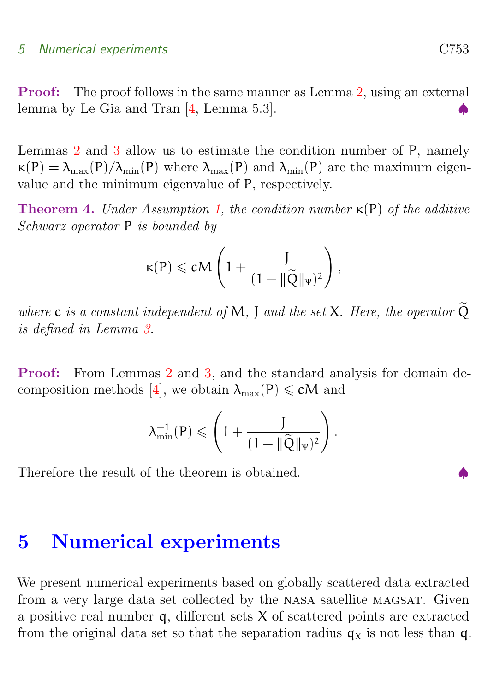#### <span id="page-11-1"></span>5 Numerical experiments C753

Proof: The proof follows in the same manner as Lemma [2,](#page-8-3) using an external lemma by Le Gia and Tran  $[4, \text{Lemma } 5.3]$  $[4, \text{Lemma } 5.3]$ .

Lemmas [2](#page-8-3) and [3](#page-10-0) allow us to estimate the condition number of P, namely  $\kappa(P) = \lambda_{\text{max}}(P)/\lambda_{\text{min}}(P)$  where  $\lambda_{\text{max}}(P)$  and  $\lambda_{\text{min}}(P)$  are the maximum eigenvalue and the minimum eigenvalue of P, respectively.

**Theorem 4.** Under Assumption [1,](#page-8-2) the condition number  $\kappa(P)$  of the additive Schwarz operator P is bounded by

$$
\kappa(P)\leqslant c\mathsf{M}\left(1+\frac{J}{(1-\|\widetilde{Q}\|_{\Psi})^2}\right),
$$

where c is a constant independent of M, J and the set X. Here, the operator  $\widetilde{Q}$ is defined in Lemma [3.](#page-10-0)

Proof: From Lemmas [2](#page-8-3) and [3,](#page-10-0) and the standard analysis for domain de-composition methods [\[4\]](#page-13-4), we obtain  $\lambda_{\text{max}}(P) \leq cM$  and

$$
\lambda_{\min}^{-1}(P) \leqslant \left(1+\frac{J}{(1-\|\widetilde{Q}\|_{\Psi})^2}\right).
$$

Therefore the result of the theorem is obtained.

# <span id="page-11-0"></span>5 Numerical experiments

We present numerical experiments based on globally scattered data extracted from a very large data set collected by the nasa satellite magsat. Given a positive real number  $q$ , different sets  $X$  of scattered points are extracted from the original data set so that the separation radius  $q_X$  is not less than q.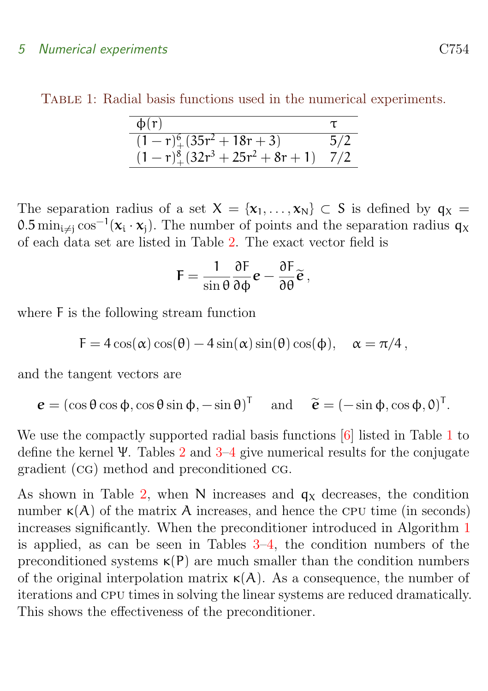#### <span id="page-12-1"></span>5 Numerical experiments C754

TABLE 1: Radial basis functions used in the numerical experiments.

<span id="page-12-0"></span>

| $\phi(r)$                                  |     |
|--------------------------------------------|-----|
| $(1 - r)^{6}$ (35r <sup>2</sup> + 18r + 3) | 5/2 |
| $(1 - r)^8 + (32r^3 + 25r^2 + 8r + 1)$     | 1/2 |

The separation radius of a set  $X = \{x_1, \ldots, x_N\} \subset S$  is defined by  $q_X =$ 0.5 min<sub>i≠j</sub> cos<sup>-1</sup>( $x_i \cdot x_j$ ). The number of points and the separation radius  $q_x$ of each data set are listed in Table [2.](#page-13-7) The exact vector field is

$$
\mathsf{F} = \frac{1}{\sin \theta} \frac{\partial \mathsf{F}}{\partial \phi} \mathbf{e} - \frac{\partial \mathsf{F}}{\partial \theta} \widetilde{\mathbf{e}} \,,
$$

where F is the following stream function

 $F = 4 \cos(\alpha) \cos(\theta) - 4 \sin(\alpha) \sin(\theta) \cos(\phi), \quad \alpha = \pi/4$ ,

and the tangent vectors are

 $\mathbf{e} = (\cos \theta \cos \phi, \cos \theta \sin \phi, -\sin \theta)^\mathsf{T}$  and  $\mathbf{\tilde{e}} = (-\sin \phi, \cos \phi, 0)^\mathsf{T}$ .

We use the compactly supported radial basis functions [\[6\]](#page-13-5) listed in Table [1](#page-12-0) to define the kernel Ψ. Tables [2](#page-13-7) and [3](#page-14-0)[–4](#page-15-0) give numerical results for the conjugate gradient (cg) method and preconditioned cg.

As shown in Table [2,](#page-13-7) when N increases and  $q<sub>x</sub>$  decreases, the condition number  $\kappa(A)$  of the matrix A increases, and hence the CPU time (in seconds) increases significantly. When the preconditioner introduced in Algorithm [1](#page-8-1) is applied, as can be seen in Tables  $3-4$ , the condition numbers of the preconditioned systems  $\kappa(P)$  are much smaller than the condition numbers of the original interpolation matrix  $\kappa(A)$ . As a consequence, the number of iterations and cpu times in solving the linear systems are reduced dramatically. This shows the effectiveness of the preconditioner.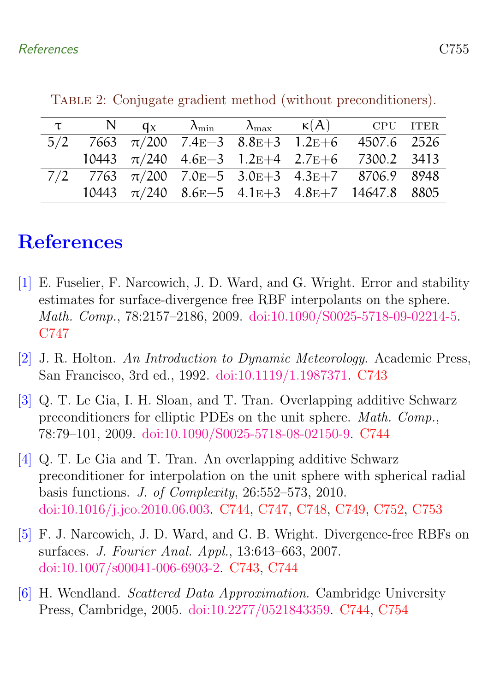|  |  |  | $\tau$ N $q_X$ $\lambda_{\min}$ $\lambda_{\max}$ $\kappa(A)$ CPU ITER                        |  |
|--|--|--|----------------------------------------------------------------------------------------------|--|
|  |  |  | $5/2$ 7663 $\pi/200$ 7.4E-3 8.8E+3 1.2E+6 4507.6 2526                                        |  |
|  |  |  | 10443 $\pi/240$ 4.6E-3 1.2E+4 2.7E+6 7300.2 3413                                             |  |
|  |  |  | $7/2$ 7763 $\pi/200$ 7.0 <sub>E</sub> -5 3.0 <sub>E</sub> +3 4.3 <sub>E</sub> +7 8706.9 8948 |  |
|  |  |  | 10443 $\pi/240$ 8.6E-5 4.1E+3 4.8E+7 14647.8 8805                                            |  |

<span id="page-13-7"></span>Table 2: Conjugate gradient method (without preconditioners).

# <span id="page-13-0"></span>References

- <span id="page-13-6"></span>[1] E. Fuselier, F. Narcowich, J. D. Ward, and G. Wright. Error and stability estimates for surface-divergence free RBF interpolants on the sphere. Math. Comp., 78:2157–2186, 2009. [doi:10.1090/S0025-5718-09-02214-5.](http://dx.doi.org/10.1090/S0025-5718-09-02214-5) [C747](#page-5-4)
- <span id="page-13-1"></span>[2] J. R. Holton. An Introduction to Dynamic Meteorology. Academic Press, San Francisco, 3rd ed., 1992. [doi:10.1119/1.1987371.](http://dx.doi.org/10.1119/1.1987371) [C743](#page-1-1)
- <span id="page-13-3"></span>[3] Q. T. Le Gia, I. H. Sloan, and T. Tran. Overlapping additive Schwarz preconditioners for elliptic PDEs on the unit sphere. Math. Comp., 78:79–101, 2009. [doi:10.1090/S0025-5718-08-02150-9.](http://dx.doi.org/10.1090/S0025-5718-08-02150-9) [C744](#page-2-3)
- <span id="page-13-4"></span>[4] Q. T. Le Gia and T. Tran. An overlapping additive Schwarz preconditioner for interpolation on the unit sphere with spherical radial basis functions. J. of Complexity, 26:552–573, 2010. [doi:10.1016/j.jco.2010.06.003.](http://dx.doi.org/10.1016/j.jco.2010.06.003) [C744,](#page-2-3) [C747,](#page-5-4) [C748,](#page-6-6) [C749,](#page-7-2) [C752,](#page-10-1) [C753](#page-11-1)
- <span id="page-13-2"></span>[5] F. J. Narcowich, J. D. Ward, and G. B. Wright. Divergence-free RBFs on surfaces. J. Fourier Anal. Appl., 13:643–663, 2007. [doi:10.1007/s00041-006-6903-2.](http://dx.doi.org/10.1007/s00041-006-6903-2) [C743,](#page-1-1) [C744](#page-2-3)
- <span id="page-13-5"></span>[6] H. Wendland. Scattered Data Approximation. Cambridge University Press, Cambridge, 2005. [doi:10.2277/0521843359.](http://dx.doi.org/10.2277/0521843359) [C744,](#page-2-3) [C754](#page-12-1)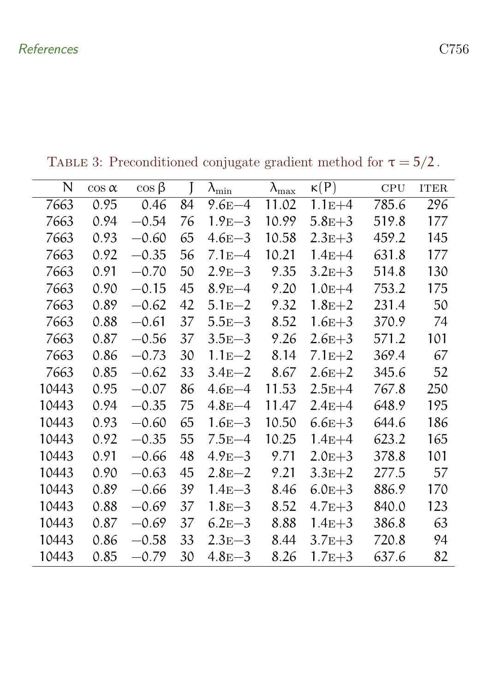| N     | $\cos \alpha$ | $\cos \beta$ |    | $\lambda_{\min}$ | $\lambda_{\max}$ | $\kappa(P)$ | CPU   | <b>ITER</b> |
|-------|---------------|--------------|----|------------------|------------------|-------------|-------|-------------|
| 7663  | 0.95          | 0.46         | 84 | $9.6E - 4$       | 11.02            | $1.1E+4$    | 785.6 | 296         |
| 7663  | 0.94          | $-0.54$      | 76 | $1.9E-3$         | 10.99            | $5.8E + 3$  | 519.8 | 177         |
| 7663  | 0.93          | $-0.60$      | 65 | $4.6E - 3$       | 10.58            | $2.3E + 3$  | 459.2 | 145         |
| 7663  | 0.92          | $-0.35$      | 56 | $7.1E - 4$       | 10.21            | $1.4E + 4$  | 631.8 | 177         |
| 7663  | 0.91          | $-0.70$      | 50 | $2.9E-3$         | 9.35             | $3.2E + 3$  | 514.8 | 130         |
| 7663  | 0.90          | $-0.15$      | 45 | $8.9E - 4$       | 9.20             | $1.0E + 4$  | 753.2 | 175         |
| 7663  | 0.89          | $-0.62$      | 42 | $5.1E-2$         | 9.32             | $1.8E + 2$  | 231.4 | 50          |
| 7663  | 0.88          | $-0.61$      | 37 | $5.5E - 3$       | 8.52             | $1.6E + 3$  | 370.9 | 74          |
| 7663  | 0.87          | $-0.56$      | 37 | $3.5E - 3$       | 9.26             | $2.6E + 3$  | 571.2 | 101         |
| 7663  | 0.86          | $-0.73$      | 30 | $1.1E - 2$       | 8.14             | $7.1E+2$    | 369.4 | 67          |
| 7663  | 0.85          | $-0.62$      | 33 | $3.4E - 2$       | 8.67             | $2.6E + 2$  | 345.6 | 52          |
| 10443 | 0.95          | $-0.07$      | 86 | $4.6E - 4$       | 11.53            | $2.5E+4$    | 767.8 | 250         |
| 10443 | 0.94          | $-0.35$      | 75 | $4.8E - 4$       | 11.47            | $2.4E + 4$  | 648.9 | 195         |
| 10443 | 0.93          | $-0.60$      | 65 | $1.6E - 3$       | 10.50            | $6.6E + 3$  | 644.6 | 186         |
| 10443 | 0.92          | $-0.35$      | 55 | $7.5E-4$         | 10.25            | $1.4E + 4$  | 623.2 | 165         |
| 10443 | 0.91          | $-0.66$      | 48 | $4.9E-3$         | 9.71             | $2.0E + 3$  | 378.8 | 101         |
| 10443 | 0.90          | $-0.63$      | 45 | $2.8E - 2$       | 9.21             | $3.3E+2$    | 277.5 | 57          |
| 10443 | 0.89          | $-0.66$      | 39 | $1.4E - 3$       | 8.46             | $6.0E + 3$  | 886.9 | 170         |
| 10443 | 0.88          | $-0.69$      | 37 | $1.8E - 3$       | 8.52             | $4.7E + 3$  | 840.0 | 123         |
| 10443 | 0.87          | $-0.69$      | 37 | $6.2E-3$         | 8.88             | $1.4E + 3$  | 386.8 | 63          |
| 10443 | 0.86          | $-0.58$      | 33 | $2.3E - 3$       | 8.44             | $3.7E + 3$  | 720.8 | 94          |
| 10443 | 0.85          | $-0.79$      | 30 | $4.8E - 3$       | 8.26             | $1.7E + 3$  | 637.6 | 82          |

<span id="page-14-0"></span>TABLE 3: Preconditioned conjugate gradient method for  $\tau=5/2$  .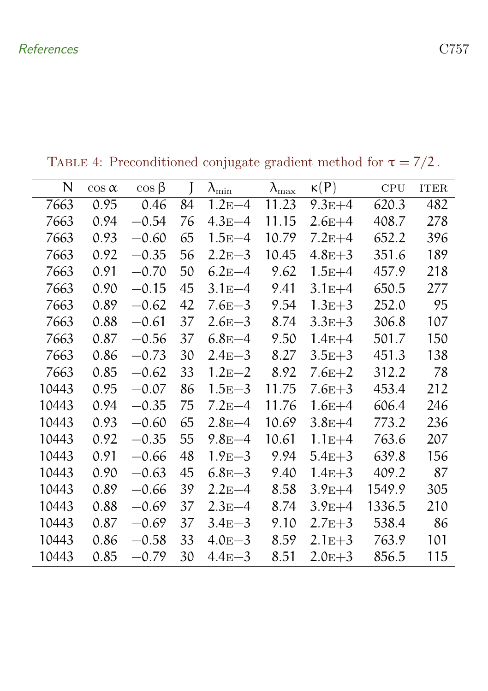| N     | $\cos \alpha$ | $\cos \beta$ |    | $\lambda_{\min}$ | $\lambda_{\text{max}}$ | $\kappa(P)$ | CPU    | $\operatorname{ITER}$ |
|-------|---------------|--------------|----|------------------|------------------------|-------------|--------|-----------------------|
| 7663  | 0.95          | 0.46         | 84 | $1.2E-4$         | 11.23                  | $9.3E + 4$  | 620.3  | 482                   |
| 7663  | 0.94          | $-0.54$      | 76 | $4.3E-4$         | 11.15                  | $2.6E+4$    | 408.7  | 278                   |
| 7663  | 0.93          | $-0.60$      | 65 | $1.5E-4$         | 10.79                  | $7.2E+4$    | 652.2  | 396                   |
| 7663  | 0.92          | $-0.35$      | 56 | $2.2E - 3$       | 10.45                  | $4.8E + 3$  | 351.6  | 189                   |
| 7663  | 0.91          | $-0.70$      | 50 | $6.2E-4$         | 9.62                   | $1.5E + 4$  | 457.9  | 218                   |
| 7663  | 0.90          | $-0.15$      | 45 | $3.1E - 4$       | 9.41                   | $3.1E + 4$  | 650.5  | 277                   |
| 7663  | 0.89          | $-0.62$      | 42 | $7.6E - 3$       | 9.54                   | $1.3E + 3$  | 252.0  | 95                    |
| 7663  | 0.88          | $-0.61$      | 37 | $2.6E - 3$       | 8.74                   | $3.3E + 3$  | 306.8  | 107                   |
| 7663  | 0.87          | $-0.56$      | 37 | $6.8E - 4$       | 9.50                   | $1.4E + 4$  | 501.7  | 150                   |
| 7663  | 0.86          | $-0.73$      | 30 | $2.4E - 3$       | 8.27                   | $3.5E + 3$  | 451.3  | 138                   |
| 7663  | 0.85          | $-0.62$      | 33 | $1.2E - 2$       | 8.92                   | $7.6E + 2$  | 312.2  | 78                    |
| 10443 | 0.95          | $-0.07$      | 86 | $1.5E - 3$       | 11.75                  | $7.6E + 3$  | 453.4  | 212                   |
| 10443 | 0.94          | $-0.35$      | 75 | $7.2E-4$         | 11.76                  | $1.6E + 4$  | 606.4  | 246                   |
| 10443 | 0.93          | $-0.60$      | 65 | $2.8E - 4$       | 10.69                  | $3.8E + 4$  | 773.2  | 236                   |
| 10443 | 0.92          | $-0.35$      | 55 | $9.8E - 4$       | 10.61                  | $1.1E + 4$  | 763.6  | 207                   |
| 10443 | 0.91          | $-0.66$      | 48 | $1.9E-3$         | 9.94                   | $5.4E + 3$  | 639.8  | 156                   |
| 10443 | 0.90          | $-0.63$      | 45 | $6.8E - 3$       | 9.40                   | $1.4E + 3$  | 409.2  | 87                    |
| 10443 | 0.89          | $-0.66$      | 39 | $2.2E - 4$       | 8.58                   | $3.9E + 4$  | 1549.9 | 305                   |
| 10443 | 0.88          | $-0.69$      | 37 | $2.3E - 4$       | 8.74                   | $3.9E + 4$  | 1336.5 | 210                   |
| 10443 | 0.87          | $-0.69$      | 37 | $3.4E - 3$       | 9.10                   | $2.7E + 3$  | 538.4  | 86                    |
| 10443 | 0.86          | $-0.58$      | 33 | $4.0E - 3$       | 8.59                   | $2.1E + 3$  | 763.9  | 101                   |
| 10443 | 0.85          | $-0.79$      | 30 | $4.4E - 3$       | 8.51                   | $2.0E + 3$  | 856.5  | 115                   |

<span id="page-15-0"></span>TABLE 4: Preconditioned conjugate gradient method for  $\tau=7/2$  .